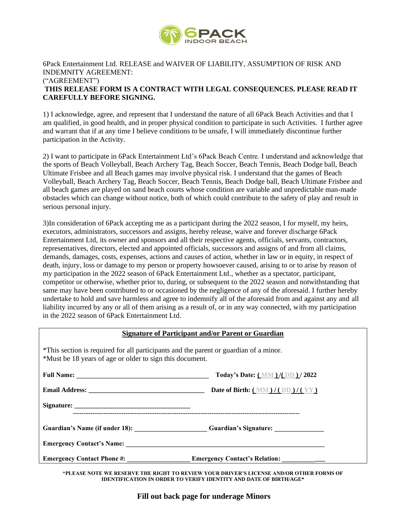

## 6Pack Entertainment Ltd. RELEASE and WAIVER OF LIABILITY, ASSUMPTION OF RISK AND INDEMNITY AGREEMENT: ("AGREEMENT") **THIS RELEASE FORM IS A CONTRACT WITH LEGAL CONSEQUENCES. PLEASE READ IT CAREFULLY BEFORE SIGNING.**

1) I acknowledge, agree, and represent that I understand the nature of all 6Pack Beach Activities and that I am qualified, in good health, and in proper physical condition to participate in such Activities. I further agree and warrant that if at any time I believe conditions to be unsafe, I will immediately discontinue further participation in the Activity.

2) I want to participate in 6Pack Entertainment Ltd's 6Pack Beach Centre. I understand and acknowledge that the sports of Beach Volleyball, Beach Archery Tag, Beach Soccer, Beach Tennis, Beach Dodge ball, Beach Ultimate Frisbee and all Beach games may involve physical risk. I understand that the games of Beach Volleyball, Beach Archery Tag, Beach Soccer, Beach Tennis, Beach Dodge ball, Beach Ultimate Frisbee and all beach games are played on sand beach courts whose condition are variable and unpredictable man-made obstacles which can change without notice, both of which could contribute to the safety of play and result in serious personal injury.

3)In consideration of 6Pack accepting me as a participant during the 2022 season, I for myself, my heirs, executors, administrators, successors and assigns, hereby release, waive and forever discharge 6Pack Entertainment Ltd, its owner and sponsors and all their respective agents, officials, servants, contractors, representatives, directors, elected and appointed officials, successors and assigns of and from all claims, demands, damages, costs, expenses, actions and causes of action, whether in law or in equity, in respect of death, injury, loss or damage to my person or property howsoever caused, arising to or to arise by reason of my participation in the 2022 season of 6Pack Entertainment Ltd., whether as a spectator, participant, competitor or otherwise, whether prior to, during, or subsequent to the 2022 season and notwithstanding that same may have been contributed to or occasioned by the negligence of any of the aforesaid. I further hereby undertake to hold and save harmless and agree to indemnify all of the aforesaid from and against any and all liability incurred by any or all of them arising as a result of, or in any way connected, with my participation in the 2022 season of 6Pack Entertainment Ltd.

| <b>Signature of Participant and/or Parent or Guardian</b> |  |  |  |  |
|-----------------------------------------------------------|--|--|--|--|
|                                                           |  |  |  |  |

| *This section is required for all participants and the parent or guardian of a minor.<br>*Must be 18 years of age or older to sign this document.                                                                              |                                            |  |  |  |  |  |
|--------------------------------------------------------------------------------------------------------------------------------------------------------------------------------------------------------------------------------|--------------------------------------------|--|--|--|--|--|
|                                                                                                                                                                                                                                | Today's Date: (MM)/(DD)/2022               |  |  |  |  |  |
|                                                                                                                                                                                                                                | Date of Birth: $(MM)/(DD)/(YY)$            |  |  |  |  |  |
|                                                                                                                                                                                                                                |                                            |  |  |  |  |  |
| Guardian's Name (if under 18): Guardian's Signature: Constant of Name of School and School and School and School and School and School and School and School and School and School and School and School and School and School |                                            |  |  |  |  |  |
|                                                                                                                                                                                                                                |                                            |  |  |  |  |  |
|                                                                                                                                                                                                                                | Emergency Contact's Relation: ____________ |  |  |  |  |  |

\***PLEASE NOTE WE RESERVE THE RIGHT TO REVIEW YOUR DRIVER'S LICENSE AND/OR OTHER FORMS OF IDENTIFICATION IN ORDER TO VERIFY IDENTITY AND DATE OF BIRTH/AGE\***

**Fill out back page for underage Minors**